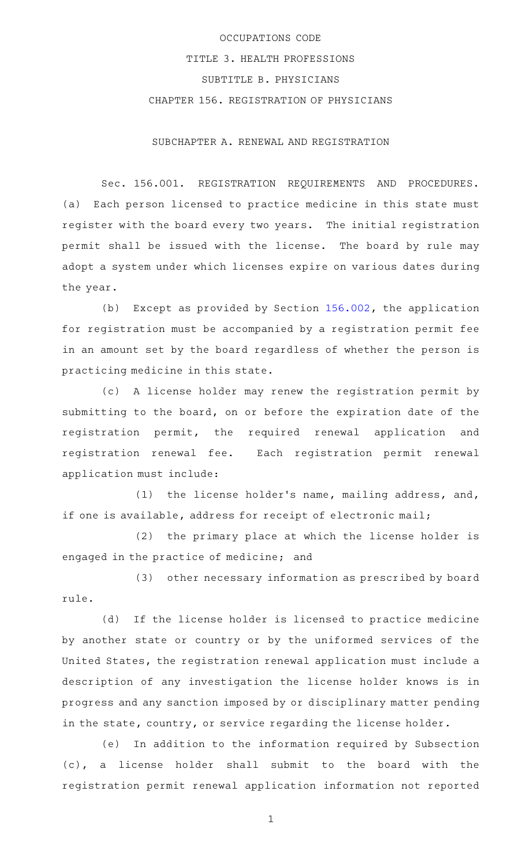## OCCUPATIONS CODE TITLE 3. HEALTH PROFESSIONS SUBTITLE B. PHYSICIANS CHAPTER 156. REGISTRATION OF PHYSICIANS

SUBCHAPTER A. RENEWAL AND REGISTRATION

Sec. 156.001. REGISTRATION REQUIREMENTS AND PROCEDURES. (a) Each person licensed to practice medicine in this state must register with the board every two years. The initial registration permit shall be issued with the license. The board by rule may adopt a system under which licenses expire on various dates during the year.

(b) Except as provided by Section  $156.002$ , the application for registration must be accompanied by a registration permit fee in an amount set by the board regardless of whether the person is practicing medicine in this state.

(c)AAA license holder may renew the registration permit by submitting to the board, on or before the expiration date of the registration permit, the required renewal application and registration renewal fee. Each registration permit renewal application must include:

(1) the license holder's name, mailing address, and, if one is available, address for receipt of electronic mail;

(2) the primary place at which the license holder is engaged in the practice of medicine; and

(3) other necessary information as prescribed by board rule.

(d) If the license holder is licensed to practice medicine by another state or country or by the uniformed services of the United States, the registration renewal application must include a description of any investigation the license holder knows is in progress and any sanction imposed by or disciplinary matter pending in the state, country, or service regarding the license holder.

(e) In addition to the information required by Subsection (c), a license holder shall submit to the board with the registration permit renewal application information not reported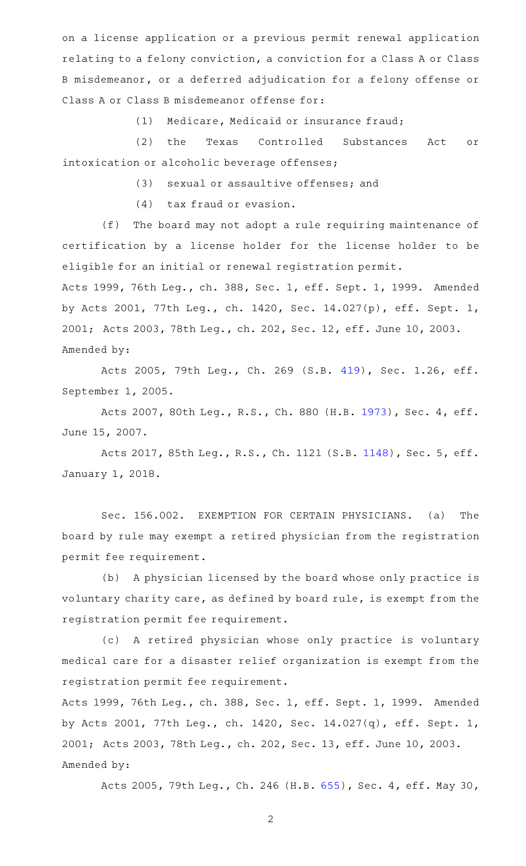on a license application or a previous permit renewal application relating to a felony conviction, a conviction for a Class A or Class B misdemeanor, or a deferred adjudication for a felony offense or Class A or Class B misdemeanor offense for:

(1) Medicare, Medicaid or insurance fraud;

(2) the Texas Controlled Substances Act or intoxication or alcoholic beverage offenses;

(3) sexual or assaultive offenses; and

 $(4)$  tax fraud or evasion.

(f) The board may not adopt a rule requiring maintenance of certification by a license holder for the license holder to be eligible for an initial or renewal registration permit.

Acts 1999, 76th Leg., ch. 388, Sec. 1, eff. Sept. 1, 1999. Amended by Acts 2001, 77th Leg., ch. 1420, Sec. 14.027(p), eff. Sept. 1, 2001; Acts 2003, 78th Leg., ch. 202, Sec. 12, eff. June 10, 2003. Amended by:

Acts 2005, 79th Leg., Ch. 269 (S.B. [419](http://www.legis.state.tx.us/tlodocs/79R/billtext/html/SB00419F.HTM)), Sec. 1.26, eff. September 1, 2005.

Acts 2007, 80th Leg., R.S., Ch. 880 (H.B. [1973](http://www.legis.state.tx.us/tlodocs/80R/billtext/html/HB01973F.HTM)), Sec. 4, eff. June 15, 2007.

Acts 2017, 85th Leg., R.S., Ch. 1121 (S.B. [1148](http://www.legis.state.tx.us/tlodocs/85R/billtext/html/SB01148F.HTM)), Sec. 5, eff. January 1, 2018.

Sec. 156.002. EXEMPTION FOR CERTAIN PHYSICIANS. (a) The board by rule may exempt a retired physician from the registration permit fee requirement.

(b) A physician licensed by the board whose only practice is voluntary charity care, as defined by board rule, is exempt from the registration permit fee requirement.

(c)AAA retired physician whose only practice is voluntary medical care for a disaster relief organization is exempt from the registration permit fee requirement.

Acts 1999, 76th Leg., ch. 388, Sec. 1, eff. Sept. 1, 1999. Amended by Acts 2001, 77th Leg., ch. 1420, Sec. 14.027(q), eff. Sept. 1, 2001; Acts 2003, 78th Leg., ch. 202, Sec. 13, eff. June 10, 2003. Amended by:

Acts 2005, 79th Leg., Ch. 246 (H.B. [655\)](http://www.legis.state.tx.us/tlodocs/79R/billtext/html/HB00655F.HTM), Sec. 4, eff. May 30,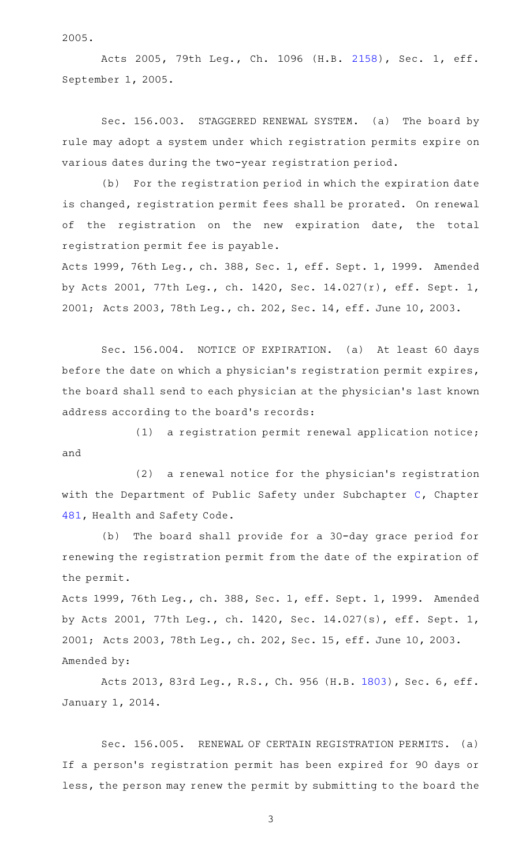2005.

Acts 2005, 79th Leg., Ch. 1096 (H.B. [2158](http://www.legis.state.tx.us/tlodocs/79R/billtext/html/HB02158F.HTM)), Sec. 1, eff. September 1, 2005.

Sec. 156.003. STAGGERED RENEWAL SYSTEM. (a) The board by rule may adopt a system under which registration permits expire on various dates during the two-year registration period.

(b) For the registration period in which the expiration date is changed, registration permit fees shall be prorated. On renewal of the registration on the new expiration date, the total registration permit fee is payable.

Acts 1999, 76th Leg., ch. 388, Sec. 1, eff. Sept. 1, 1999. Amended by Acts 2001, 77th Leg., ch. 1420, Sec. 14.027(r), eff. Sept. 1, 2001; Acts 2003, 78th Leg., ch. 202, Sec. 14, eff. June 10, 2003.

Sec. 156.004. NOTICE OF EXPIRATION. (a) At least 60 days before the date on which a physician's registration permit expires, the board shall send to each physician at the physician 's last known address according to the board's records:

 $(1)$  a registration permit renewal application notice; and

(2) a renewal notice for the physician's registration with the Department of Public Safety under Subchapter [C,](http://www.statutes.legis.state.tx.us/GetStatute.aspx?Code=HS&Value=481.061) Chapter [481,](http://www.statutes.legis.state.tx.us/GetStatute.aspx?Code=HS&Value=481) Health and Safety Code.

(b) The board shall provide for a 30-day grace period for renewing the registration permit from the date of the expiration of the permit.

Acts 1999, 76th Leg., ch. 388, Sec. 1, eff. Sept. 1, 1999. Amended by Acts 2001, 77th Leg., ch. 1420, Sec. 14.027(s), eff. Sept. 1, 2001; Acts 2003, 78th Leg., ch. 202, Sec. 15, eff. June 10, 2003. Amended by:

Acts 2013, 83rd Leg., R.S., Ch. 956 (H.B. [1803](http://www.legis.state.tx.us/tlodocs/83R/billtext/html/HB01803F.HTM)), Sec. 6, eff. January 1, 2014.

Sec. 156.005. RENEWAL OF CERTAIN REGISTRATION PERMITS. (a) If a person 's registration permit has been expired for 90 days or less, the person may renew the permit by submitting to the board the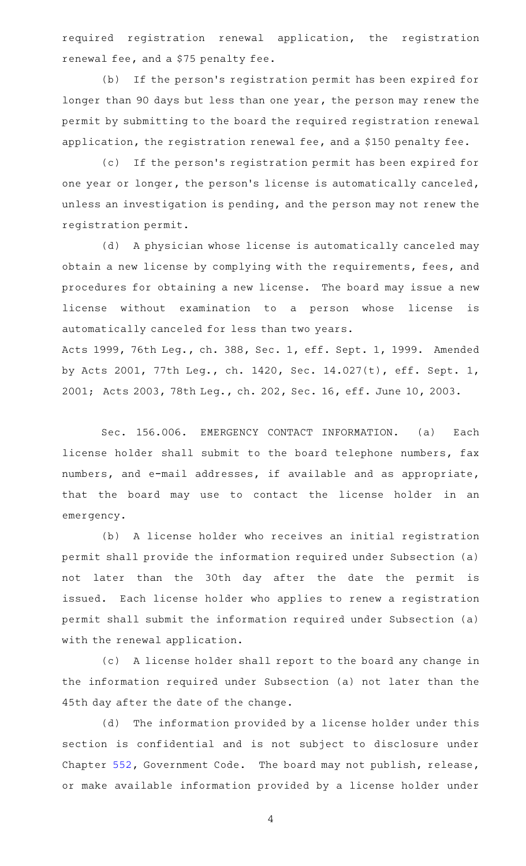required registration renewal application, the registration renewal fee, and a \$75 penalty fee.

(b) If the person's registration permit has been expired for longer than 90 days but less than one year, the person may renew the permit by submitting to the board the required registration renewal application, the registration renewal fee, and a \$150 penalty fee.

(c) If the person's registration permit has been expired for one year or longer, the person's license is automatically canceled, unless an investigation is pending, and the person may not renew the registration permit.

(d) A physician whose license is automatically canceled may obtain a new license by complying with the requirements, fees, and procedures for obtaining a new license. The board may issue a new license without examination to a person whose license is automatically canceled for less than two years.

Acts 1999, 76th Leg., ch. 388, Sec. 1, eff. Sept. 1, 1999. Amended by Acts 2001, 77th Leg., ch. 1420, Sec. 14.027(t), eff. Sept. 1, 2001; Acts 2003, 78th Leg., ch. 202, Sec. 16, eff. June 10, 2003.

Sec. 156.006. EMERGENCY CONTACT INFORMATION. (a) Each license holder shall submit to the board telephone numbers, fax numbers, and e-mail addresses, if available and as appropriate, that the board may use to contact the license holder in an emergency.

(b) A license holder who receives an initial registration permit shall provide the information required under Subsection (a) not later than the 30th day after the date the permit is issued. Each license holder who applies to renew a registration permit shall submit the information required under Subsection (a) with the renewal application.

(c) A license holder shall report to the board any change in the information required under Subsection (a) not later than the 45th day after the date of the change.

(d) The information provided by a license holder under this section is confidential and is not subject to disclosure under Chapter [552,](http://www.statutes.legis.state.tx.us/GetStatute.aspx?Code=GV&Value=552) Government Code. The board may not publish, release, or make available information provided by a license holder under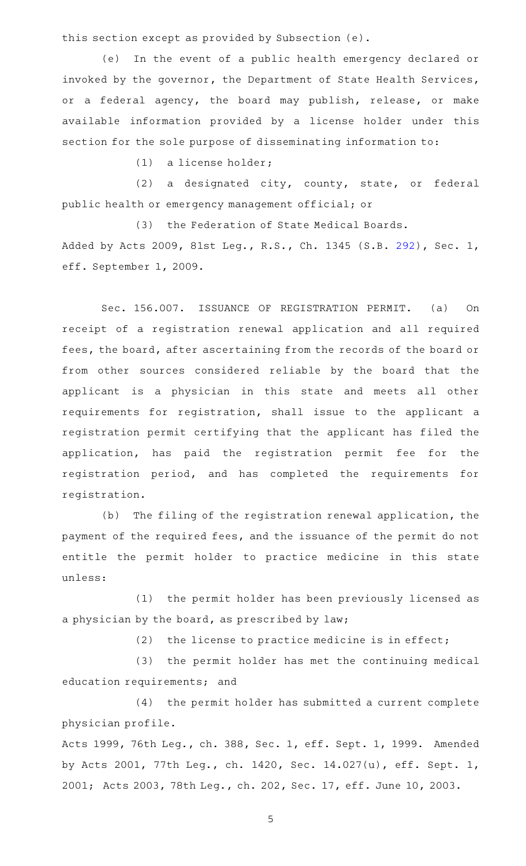this section except as provided by Subsection (e).

(e) In the event of a public health emergency declared or invoked by the governor, the Department of State Health Services, or a federal agency, the board may publish, release, or make available information provided by a license holder under this section for the sole purpose of disseminating information to:

 $(1)$  a license holder;

(2) a designated city, county, state, or federal public health or emergency management official; or

(3) the Federation of State Medical Boards. Added by Acts 2009, 81st Leg., R.S., Ch. 1345 (S.B. [292](http://www.legis.state.tx.us/tlodocs/81R/billtext/html/SB00292F.HTM)), Sec. 1, eff. September 1, 2009.

Sec. 156.007. ISSUANCE OF REGISTRATION PERMIT. (a) On receipt of a registration renewal application and all required fees, the board, after ascertaining from the records of the board or from other sources considered reliable by the board that the applicant is a physician in this state and meets all other requirements for registration, shall issue to the applicant a registration permit certifying that the applicant has filed the application, has paid the registration permit fee for the registration period, and has completed the requirements for registration.

(b) The filing of the registration renewal application, the payment of the required fees, and the issuance of the permit do not entitle the permit holder to practice medicine in this state unless:

(1) the permit holder has been previously licensed as a physician by the board, as prescribed by law;

(2) the license to practice medicine is in effect;

(3) the permit holder has met the continuing medical education requirements; and

(4) the permit holder has submitted a current complete physician profile.

Acts 1999, 76th Leg., ch. 388, Sec. 1, eff. Sept. 1, 1999. Amended by Acts 2001, 77th Leg., ch. 1420, Sec. 14.027(u), eff. Sept. 1, 2001; Acts 2003, 78th Leg., ch. 202, Sec. 17, eff. June 10, 2003.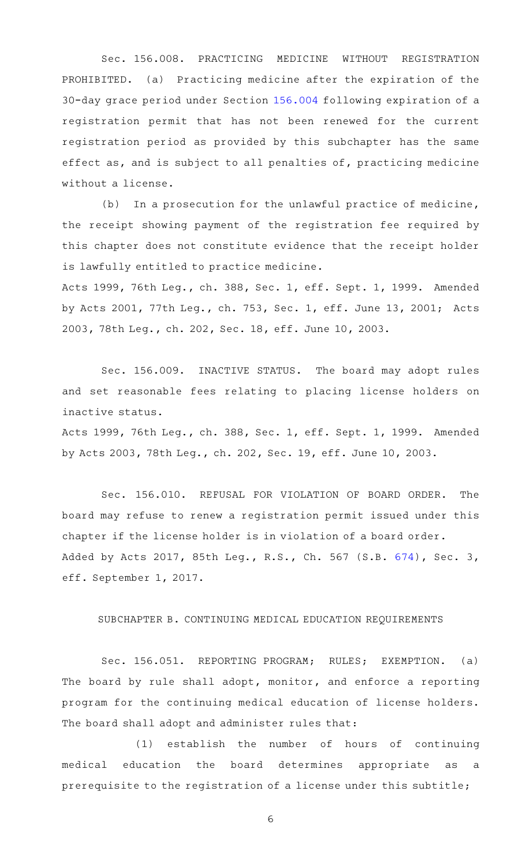Sec. 156.008. PRACTICING MEDICINE WITHOUT REGISTRATION PROHIBITED. (a) Practicing medicine after the expiration of the 30-day grace period under Section [156.004](http://www.statutes.legis.state.tx.us/GetStatute.aspx?Code=OC&Value=156.004) following expiration of a registration permit that has not been renewed for the current registration period as provided by this subchapter has the same effect as, and is subject to all penalties of, practicing medicine without a license.

 $(b)$  In a prosecution for the unlawful practice of medicine, the receipt showing payment of the registration fee required by this chapter does not constitute evidence that the receipt holder is lawfully entitled to practice medicine.

Acts 1999, 76th Leg., ch. 388, Sec. 1, eff. Sept. 1, 1999. Amended by Acts 2001, 77th Leg., ch. 753, Sec. 1, eff. June 13, 2001; Acts 2003, 78th Leg., ch. 202, Sec. 18, eff. June 10, 2003.

Sec. 156.009. INACTIVE STATUS. The board may adopt rules and set reasonable fees relating to placing license holders on inactive status.

Acts 1999, 76th Leg., ch. 388, Sec. 1, eff. Sept. 1, 1999. Amended by Acts 2003, 78th Leg., ch. 202, Sec. 19, eff. June 10, 2003.

Sec. 156.010. REFUSAL FOR VIOLATION OF BOARD ORDER. The board may refuse to renew a registration permit issued under this chapter if the license holder is in violation of a board order. Added by Acts 2017, 85th Leg., R.S., Ch. 567 (S.B. [674](http://www.legis.state.tx.us/tlodocs/85R/billtext/html/SB00674F.HTM)), Sec. 3, eff. September 1, 2017.

## SUBCHAPTER B. CONTINUING MEDICAL EDUCATION REQUIREMENTS

Sec. 156.051. REPORTING PROGRAM; RULES; EXEMPTION. (a) The board by rule shall adopt, monitor, and enforce a reporting program for the continuing medical education of license holders. The board shall adopt and administer rules that:

(1) establish the number of hours of continuing medical education the board determines appropriate as a prerequisite to the registration of a license under this subtitle;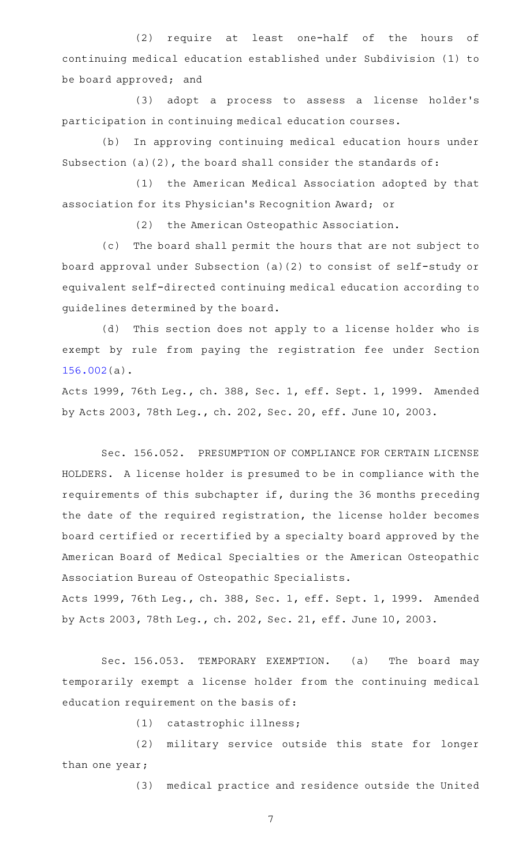(2) require at least one-half of the hours of continuing medical education established under Subdivision (1) to be board approved; and

(3) adopt a process to assess a license holder's participation in continuing medical education courses.

(b) In approving continuing medical education hours under Subsection (a)(2), the board shall consider the standards of:

(1) the American Medical Association adopted by that association for its Physician 's Recognition Award; or

(2) the American Osteopathic Association.

(c) The board shall permit the hours that are not subject to board approval under Subsection (a)(2) to consist of self-study or equivalent self-directed continuing medical education according to guidelines determined by the board.

(d) This section does not apply to a license holder who is exempt by rule from paying the registration fee under Section [156.002\(](http://www.statutes.legis.state.tx.us/GetStatute.aspx?Code=OC&Value=156.002)a).

Acts 1999, 76th Leg., ch. 388, Sec. 1, eff. Sept. 1, 1999. Amended by Acts 2003, 78th Leg., ch. 202, Sec. 20, eff. June 10, 2003.

Sec. 156.052. PRESUMPTION OF COMPLIANCE FOR CERTAIN LICENSE HOLDERS. A license holder is presumed to be in compliance with the requirements of this subchapter if, during the 36 months preceding the date of the required registration, the license holder becomes board certified or recertified by a specialty board approved by the American Board of Medical Specialties or the American Osteopathic Association Bureau of Osteopathic Specialists.

Acts 1999, 76th Leg., ch. 388, Sec. 1, eff. Sept. 1, 1999. Amended by Acts 2003, 78th Leg., ch. 202, Sec. 21, eff. June 10, 2003.

Sec. 156.053. TEMPORARY EXEMPTION. (a) The board may temporarily exempt a license holder from the continuing medical education requirement on the basis of:

(1) catastrophic illness;

(2) military service outside this state for longer than one year;

(3) medical practice and residence outside the United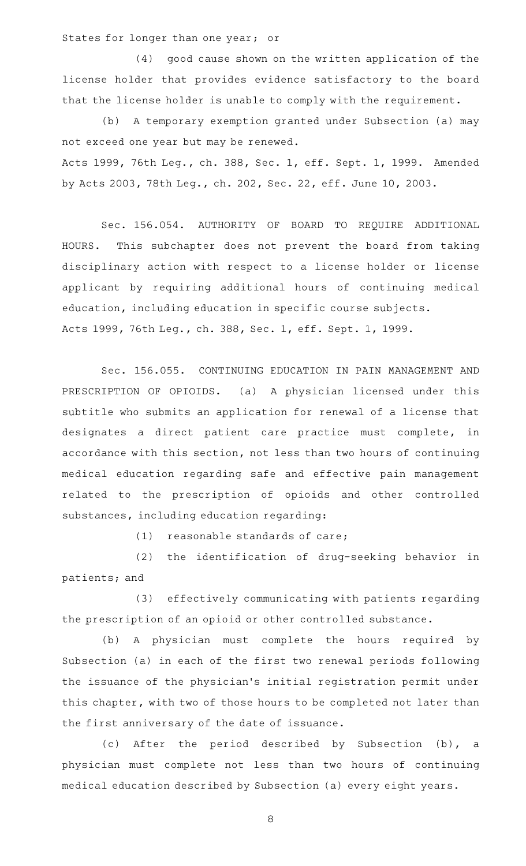States for longer than one year; or

(4) good cause shown on the written application of the license holder that provides evidence satisfactory to the board that the license holder is unable to comply with the requirement.

(b) A temporary exemption granted under Subsection (a) may not exceed one year but may be renewed. Acts 1999, 76th Leg., ch. 388, Sec. 1, eff. Sept. 1, 1999. Amended by Acts 2003, 78th Leg., ch. 202, Sec. 22, eff. June 10, 2003.

Sec. 156.054. AUTHORITY OF BOARD TO REQUIRE ADDITIONAL HOURS. This subchapter does not prevent the board from taking disciplinary action with respect to a license holder or license applicant by requiring additional hours of continuing medical education, including education in specific course subjects. Acts 1999, 76th Leg., ch. 388, Sec. 1, eff. Sept. 1, 1999.

Sec. 156.055. CONTINUING EDUCATION IN PAIN MANAGEMENT AND PRESCRIPTION OF OPIOIDS. (a) A physician licensed under this subtitle who submits an application for renewal of a license that designates a direct patient care practice must complete, in accordance with this section, not less than two hours of continuing medical education regarding safe and effective pain management related to the prescription of opioids and other controlled substances, including education regarding:

 $(1)$  reasonable standards of care;

(2) the identification of drug-seeking behavior in patients; and

(3) effectively communicating with patients regarding the prescription of an opioid or other controlled substance.

(b) A physician must complete the hours required by Subsection (a) in each of the first two renewal periods following the issuance of the physician 's initial registration permit under this chapter, with two of those hours to be completed not later than the first anniversary of the date of issuance.

(c) After the period described by Subsection (b), a physician must complete not less than two hours of continuing medical education described by Subsection (a) every eight years.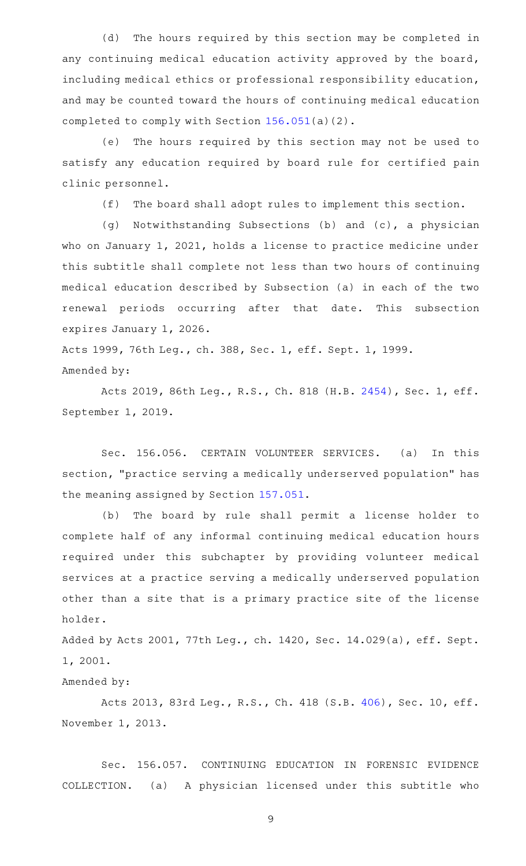(d) The hours required by this section may be completed in any continuing medical education activity approved by the board, including medical ethics or professional responsibility education, and may be counted toward the hours of continuing medical education completed to comply with Section [156.051](http://www.statutes.legis.state.tx.us/GetStatute.aspx?Code=OC&Value=156.051)(a)(2).

(e) The hours required by this section may not be used to satisfy any education required by board rule for certified pain clinic personnel.

 $(f)$  The board shall adopt rules to implement this section.

(g) Notwithstanding Subsections (b) and (c), a physician who on January 1, 2021, holds a license to practice medicine under this subtitle shall complete not less than two hours of continuing medical education described by Subsection (a) in each of the two renewal periods occurring after that date. This subsection expires January 1, 2026.

Acts 1999, 76th Leg., ch. 388, Sec. 1, eff. Sept. 1, 1999. Amended by:

Acts 2019, 86th Leg., R.S., Ch. 818 (H.B. [2454](http://www.legis.state.tx.us/tlodocs/86R/billtext/html/HB02454F.HTM)), Sec. 1, eff. September 1, 2019.

Sec. 156.056. CERTAIN VOLUNTEER SERVICES. (a) In this section, "practice serving a medically underserved population" has the meaning assigned by Section [157.051.](http://www.statutes.legis.state.tx.us/GetStatute.aspx?Code=OC&Value=157.051)

(b) The board by rule shall permit a license holder to complete half of any informal continuing medical education hours required under this subchapter by providing volunteer medical services at a practice serving a medically underserved population other than a site that is a primary practice site of the license holder.

Added by Acts 2001, 77th Leg., ch. 1420, Sec. 14.029(a), eff. Sept. 1, 2001.

Amended by:

Acts 2013, 83rd Leg., R.S., Ch. 418 (S.B. [406\)](http://www.legis.state.tx.us/tlodocs/83R/billtext/html/SB00406F.HTM), Sec. 10, eff. November 1, 2013.

Sec. 156.057. CONTINUING EDUCATION IN FORENSIC EVIDENCE COLLECTION. (a) A physician licensed under this subtitle who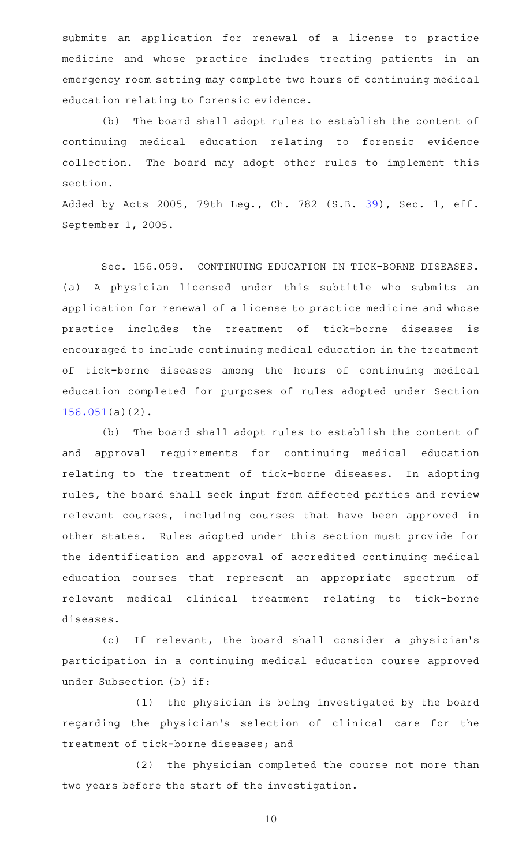submits an application for renewal of a license to practice medicine and whose practice includes treating patients in an emergency room setting may complete two hours of continuing medical education relating to forensic evidence.

(b) The board shall adopt rules to establish the content of continuing medical education relating to forensic evidence collection. The board may adopt other rules to implement this section.

Added by Acts 2005, 79th Leg., Ch. 782 (S.B. [39](http://www.legis.state.tx.us/tlodocs/79R/billtext/html/SB00039F.HTM)), Sec. 1, eff. September 1, 2005.

Sec. 156.059. CONTINUING EDUCATION IN TICK-BORNE DISEASES. (a) A physician licensed under this subtitle who submits an application for renewal of a license to practice medicine and whose practice includes the treatment of tick-borne diseases is encouraged to include continuing medical education in the treatment of tick-borne diseases among the hours of continuing medical education completed for purposes of rules adopted under Section [156.051\(](http://www.statutes.legis.state.tx.us/GetStatute.aspx?Code=OC&Value=156.051)a)(2).

(b) The board shall adopt rules to establish the content of and approval requirements for continuing medical education relating to the treatment of tick-borne diseases. In adopting rules, the board shall seek input from affected parties and review relevant courses, including courses that have been approved in other states. Rules adopted under this section must provide for the identification and approval of accredited continuing medical education courses that represent an appropriate spectrum of relevant medical clinical treatment relating to tick-borne diseases.

(c) If relevant, the board shall consider a physician's participation in a continuing medical education course approved under Subsection (b) if:

(1) the physician is being investigated by the board regarding the physician 's selection of clinical care for the treatment of tick-borne diseases; and

(2) the physician completed the course not more than two years before the start of the investigation.